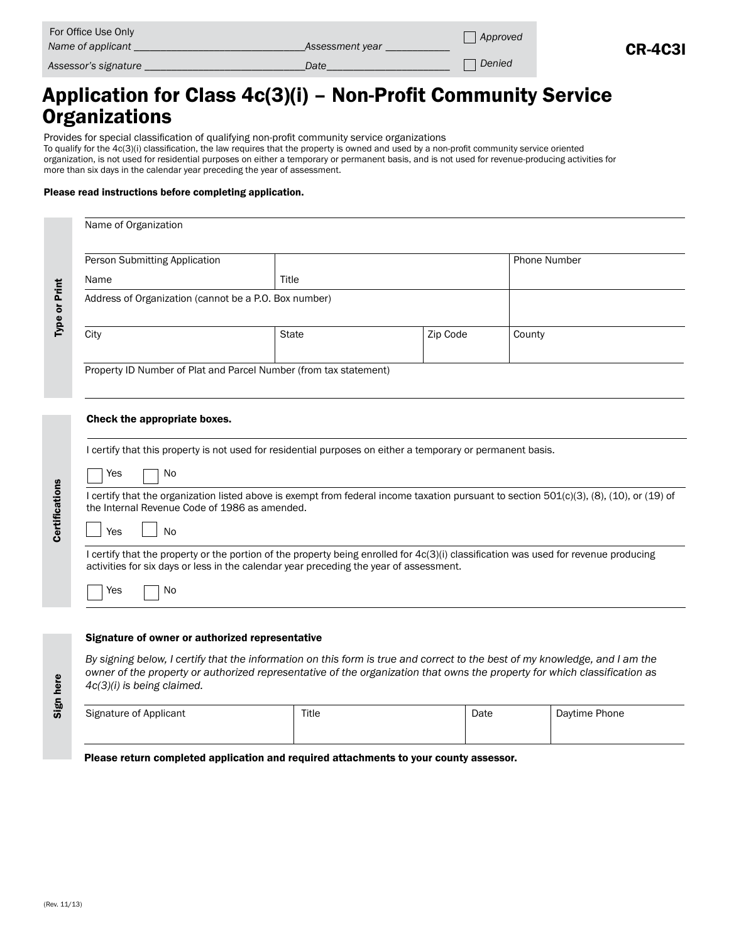| For Office Use Only<br>Name of applicant<br>Assessment year |      | , Approved |                |
|-------------------------------------------------------------|------|------------|----------------|
| Assessor's signature                                        | Date | Denied     | <b>CR-4C31</b> |

# Application for Class 4c(3)(i) – Non-Profit Community Service Organizations

Provides for special classification of qualifying non-profit community service organizations

To qualify for the 4c(3)(i) classification, the law requires that the property is owned and used by a non-profit community service oriented organization, is not used for residential purposes on either a temporary or permanent basis, and is not used for revenue-producing activities for more than six days in the calendar year preceding the year of assessment.

#### Please read instructions before completing application.

| Name of Organization          |                                                                                        |          |                                                                                                                                                                                                                                                          |  |
|-------------------------------|----------------------------------------------------------------------------------------|----------|----------------------------------------------------------------------------------------------------------------------------------------------------------------------------------------------------------------------------------------------------------|--|
| Person Submitting Application |                                                                                        |          | <b>Phone Number</b>                                                                                                                                                                                                                                      |  |
| Name                          | Title                                                                                  |          |                                                                                                                                                                                                                                                          |  |
|                               | Address of Organization (cannot be a P.O. Box number)                                  |          |                                                                                                                                                                                                                                                          |  |
| City                          | <b>State</b>                                                                           | Zip Code | County                                                                                                                                                                                                                                                   |  |
|                               | Property ID Number of Plat and Parcel Number (from tax statement)                      |          |                                                                                                                                                                                                                                                          |  |
| Check the appropriate boxes.  |                                                                                        |          |                                                                                                                                                                                                                                                          |  |
| No<br>Yes<br><b>No</b><br>Yes | the Internal Revenue Code of 1986 as amended.                                          |          | I certify that the organization listed above is exempt from federal income taxation pursuant to section 501(c)(3), (8), (10), or (19) of                                                                                                                 |  |
| Yes<br>No                     | activities for six days or less in the calendar year preceding the year of assessment. |          | I certify that the property or the portion of the property being enrolled for 4c(3)(i) classification was used for revenue producing                                                                                                                     |  |
| 4c(3)(i) is being claimed.    | Signature of owner or authorized representative                                        |          | By signing below, I certify that the information on this form is true and correct to the best of my knowledge, and I am the<br>owner of the property or authorized representative of the organization that owns the property for which classification as |  |
|                               |                                                                                        |          |                                                                                                                                                                                                                                                          |  |

Please return completed application and required attachments to your county assessor.